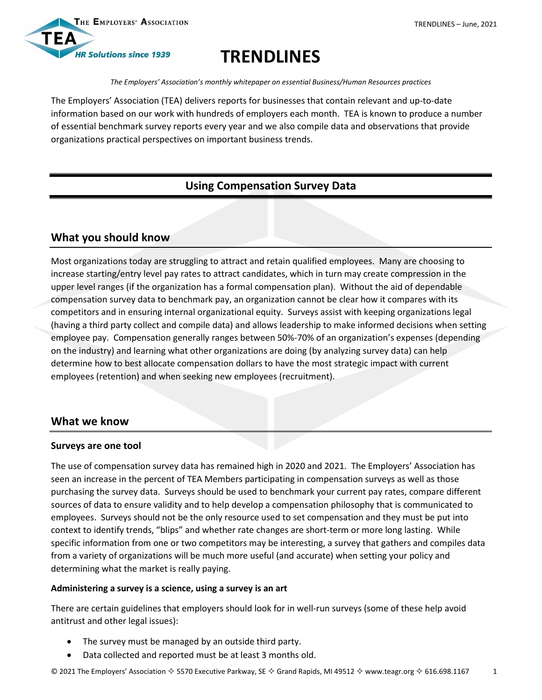



# **TRENDLINES**

*The Employers' Association's monthly whitepaper on essential Business/Human Resources practices*

The Employers' Association (TEA) delivers reports for businesses that contain relevant and up-to-date information based on our work with hundreds of employers each month. TEA is known to produce a number of essential benchmark survey reports every year and we also compile data and observations that provide organizations practical perspectives on important business trends.

# **Using Compensation Survey Data**

# **What you should know**

Most organizations today are struggling to attract and retain qualified employees. Many are choosing to increase starting/entry level pay rates to attract candidates, which in turn may create compression in the upper level ranges (if the organization has a formal compensation plan). Without the aid of dependable compensation survey data to benchmark pay, an organization cannot be clear how it compares with its competitors and in ensuring internal organizational equity. Surveys assist with keeping organizations legal (having a third party collect and compile data) and allows leadership to make informed decisions when setting employee pay. Compensation generally ranges between 50%-70% of an organization's expenses (depending on the industry) and learning what other organizations are doing (by analyzing survey data) can help determine how to best allocate compensation dollars to have the most strategic impact with current employees (retention) and when seeking new employees (recruitment).

## **What we know**

#### **Surveys are one tool**

The use of compensation survey data has remained high in 2020 and 2021. The Employers' Association has seen an increase in the percent of TEA Members participating in compensation surveys as well as those purchasing the survey data. Surveys should be used to benchmark your current pay rates, compare different sources of data to ensure validity and to help develop a compensation philosophy that is communicated to employees. Surveys should not be the only resource used to set compensation and they must be put into context to identify trends, "blips" and whether rate changes are short-term or more long lasting. While specific information from one or two competitors may be interesting, a survey that gathers and compiles data from a variety of organizations will be much more useful (and accurate) when setting your policy and determining what the market is really paying.

## **Administering a survey is a science, using a survey is an art**

There are certain guidelines that employers should look for in well-run surveys (some of these help avoid antitrust and other legal issues):

- The survey must be managed by an outside third party.
- Data collected and reported must be at least 3 months old.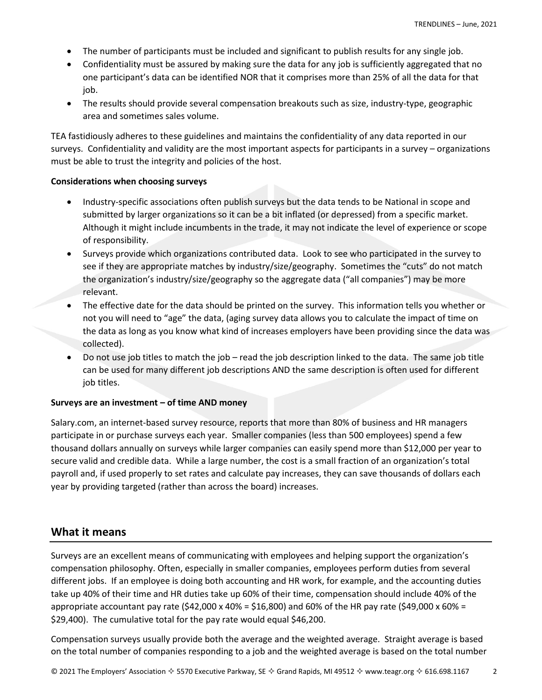- The number of participants must be included and significant to publish results for any single job.
- Confidentiality must be assured by making sure the data for any job is sufficiently aggregated that no one participant's data can be identified NOR that it comprises more than 25% of all the data for that job.
- The results should provide several compensation breakouts such as size, industry-type, geographic area and sometimes sales volume.

TEA fastidiously adheres to these guidelines and maintains the confidentiality of any data reported in our surveys. Confidentiality and validity are the most important aspects for participants in a survey – organizations must be able to trust the integrity and policies of the host.

#### **Considerations when choosing surveys**

- Industry-specific associations often publish surveys but the data tends to be National in scope and submitted by larger organizations so it can be a bit inflated (or depressed) from a specific market. Although it might include incumbents in the trade, it may not indicate the level of experience or scope of responsibility.
- Surveys provide which organizations contributed data. Look to see who participated in the survey to see if they are appropriate matches by industry/size/geography. Sometimes the "cuts" do not match the organization's industry/size/geography so the aggregate data ("all companies") may be more relevant.
- The effective date for the data should be printed on the survey. This information tells you whether or not you will need to "age" the data, (aging survey data allows you to calculate the impact of time on the data as long as you know what kind of increases employers have been providing since the data was collected).
- Do not use job titles to match the job read the job description linked to the data. The same job title can be used for many different job descriptions AND the same description is often used for different job titles.

#### **Surveys are an investment – of time AND money**

Salary.com, an internet-based survey resource, reports that more than 80% of business and HR managers participate in or purchase surveys each year. Smaller companies (less than 500 employees) spend a few thousand dollars annually on surveys while larger companies can easily spend more than \$12,000 per year to secure valid and credible data. While a large number, the cost is a small fraction of an organization's total payroll and, if used properly to set rates and calculate pay increases, they can save thousands of dollars each year by providing targeted (rather than across the board) increases.

## **What it means**

Surveys are an excellent means of communicating with employees and helping support the organization's compensation philosophy. Often, especially in smaller companies, employees perform duties from several different jobs. If an employee is doing both accounting and HR work, for example, and the accounting duties take up 40% of their time and HR duties take up 60% of their time, compensation should include 40% of the appropriate accountant pay rate (\$42,000 x 40% = \$16,800) and 60% of the HR pay rate (\$49,000 x 60% = \$29,400). The cumulative total for the pay rate would equal \$46,200.

Compensation surveys usually provide both the average and the weighted average. Straight average is based on the total number of companies responding to a job and the weighted average is based on the total number